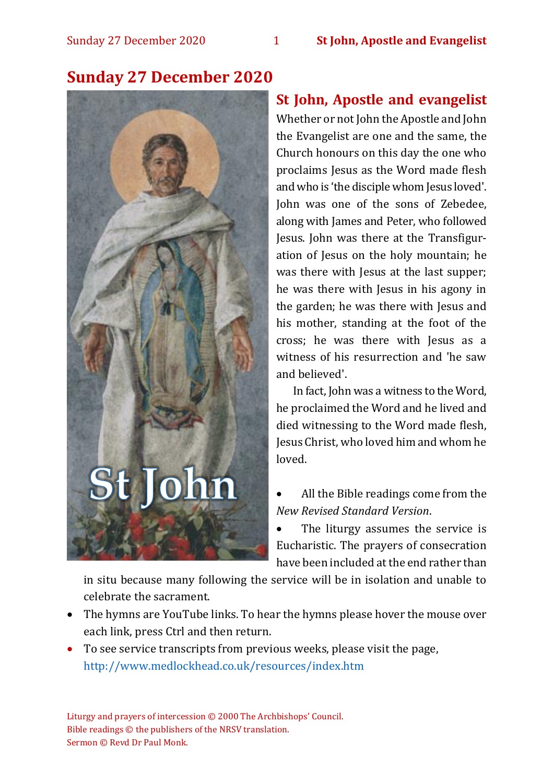

## **Sunday 27 December 2020**

## **St John, Apostle and evangelist**

Whether or not John the Apostle and John the Evangelist are one and the same, the Church honours on this day the one who proclaims Jesus as the Word made flesh and who is 'the disciple whom Jesus loved'. John was one of the sons of Zebedee, along with James and Peter, who followed Jesus. John was there at the Transfiguration of Jesus on the holy mountain; he was there with Jesus at the last supper; he was there with Jesus in his agony in the garden; he was there with Jesus and his mother, standing at the foot of the cross; he was there with Jesus as a witness of his resurrection and 'he saw and believed'.

In fact, John was a witness to the Word, he proclaimed the Word and he lived and died witnessing to the Word made flesh, Jesus Christ, who loved him and whom he loved.

• All the Bible readings come from the *New Revised Standard Version*.

• The liturgy assumes the service is Eucharistic. The prayers of consecration have been included at the end rather than

in situ because many following the service will be in isolation and unable to celebrate the sacrament.

- The hymns are YouTube links. To hear the hymns please hover the mouse over each link, press Ctrl and then return.
- To see service transcripts from previous weeks, please visit the page, <http://www.medlockhead.co.uk/resources/index.htm>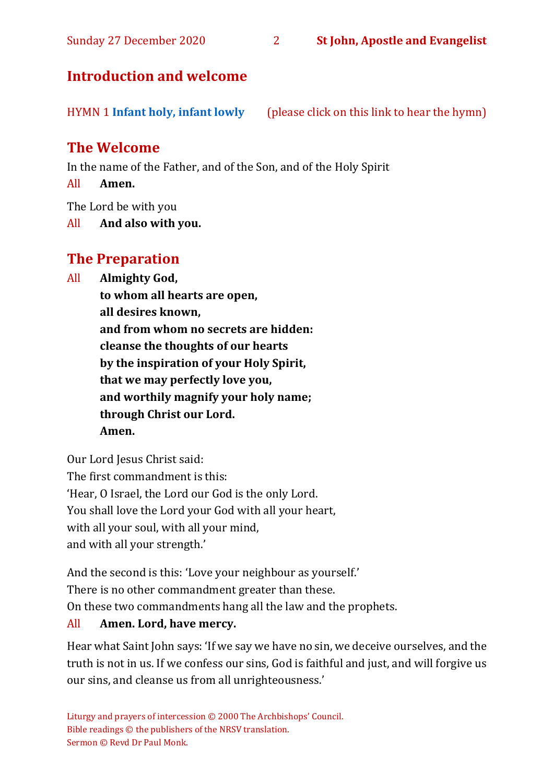Sunday 27 December 2020 2 **St John, Apostle and Evangelist**

## **Introduction and welcome**

HYMN 1 **[Infant holy, infant lowly](https://www.youtube.com/watch?v=gwWXOrqxT00)** (please click on this link to hear the hymn)

## **The Welcome**

In the name of the Father, and of the Son, and of the Holy Spirit

All **Amen.**

The Lord be with you

All **And also with you.**

## **The Preparation**

All **Almighty God,**

**to whom all hearts are open, all desires known, and from whom no secrets are hidden: cleanse the thoughts of our hearts by the inspiration of your Holy Spirit, that we may perfectly love you, and worthily magnify your holy name; through Christ our Lord. Amen.**

Our Lord Jesus Christ said: The first commandment is this: 'Hear, O Israel, the Lord our God is the only Lord. You shall love the Lord your God with all your heart, with all your soul, with all your mind, and with all your strength.'

And the second is this: 'Love your neighbour as yourself.' There is no other commandment greater than these. On these two commandments hang all the law and the prophets.

#### All **Amen. Lord, have mercy.**

Hear what Saint John says: 'If we say we have no sin, we deceive ourselves, and the truth is not in us. If we confess our sins, God is faithful and just, and will forgive us our sins, and cleanse us from all unrighteousness.'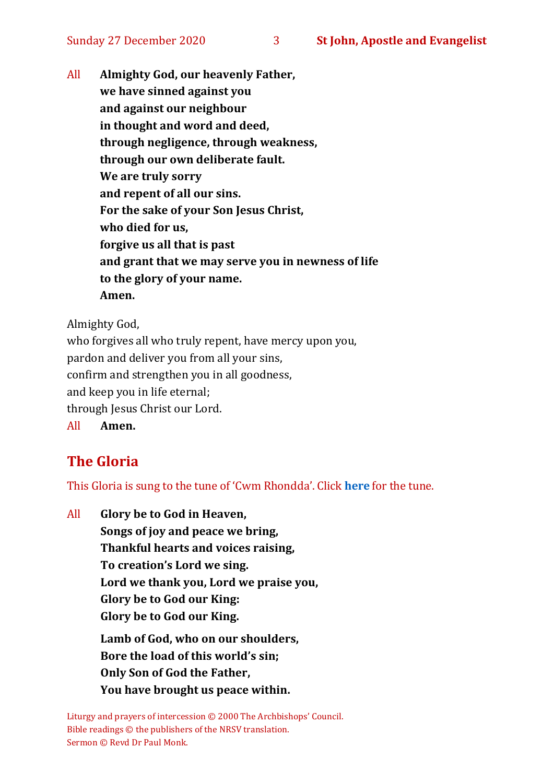All **Almighty God, our heavenly Father, we have sinned against you and against our neighbour in thought and word and deed, through negligence, through weakness, through our own deliberate fault. We are truly sorry and repent of all our sins. For the sake of your Son Jesus Christ, who died for us, forgive us all that is past and grant that we may serve you in newness of life to the glory of your name. Amen.**

Almighty God,

who forgives all who truly repent, have mercy upon you, pardon and deliver you from all your sins, confirm and strengthen you in all goodness, and keep you in life eternal; through Jesus Christ our Lord. All **Amen.**

## **The Gloria**

This Gloria is sung to the tune of 'Cwm Rhondda'. Click **[here](about:blank)** for the tune.

All **Glory be to God in Heaven, Songs of joy and peace we bring, Thankful hearts and voices raising, To creation's Lord we sing. Lord we thank you, Lord we praise you, Glory be to God our King: Glory be to God our King. Lamb of God, who on our shoulders, Bore the load of this world's sin; Only Son of God the Father, You have brought us peace within.**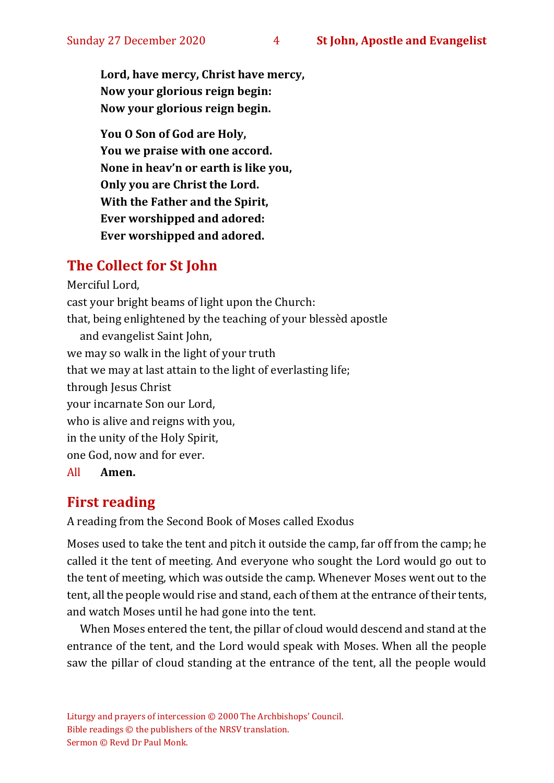#### Sunday 27 December 2020 4 **St John, Apostle and Evangelist**

**Lord, have mercy, Christ have mercy, Now your glorious reign begin: Now your glorious reign begin.**

**You O Son of God are Holy, You we praise with one accord. None in heav'n or earth is like you, Only you are Christ the Lord. With the Father and the Spirit, Ever worshipped and adored: Ever worshipped and adored.**

## **The Collect for St John**

Merciful Lord, cast your bright beams of light upon the Church: that, being enlightened by the teaching of your blessèd apostle and evangelist Saint John, we may so walk in the light of your truth that we may at last attain to the light of everlasting life; through Jesus Christ your incarnate Son our Lord, who is alive and reigns with you, in the unity of the Holy Spirit, one God, now and for ever. All **Amen.**

## **First reading**

A reading from the Second Book of Moses called Exodus

Moses used to take the tent and pitch it outside the camp, far off from the camp; he called it the tent of meeting. And everyone who sought the Lord would go out to the tent of meeting, which was outside the camp. Whenever Moses went out to the tent, all the people would rise and stand, each of them at the entrance of their tents, and watch Moses until he had gone into the tent.

When Moses entered the tent, the pillar of cloud would descend and stand at the entrance of the tent, and the Lord would speak with Moses. When all the people saw the pillar of cloud standing at the entrance of the tent, all the people would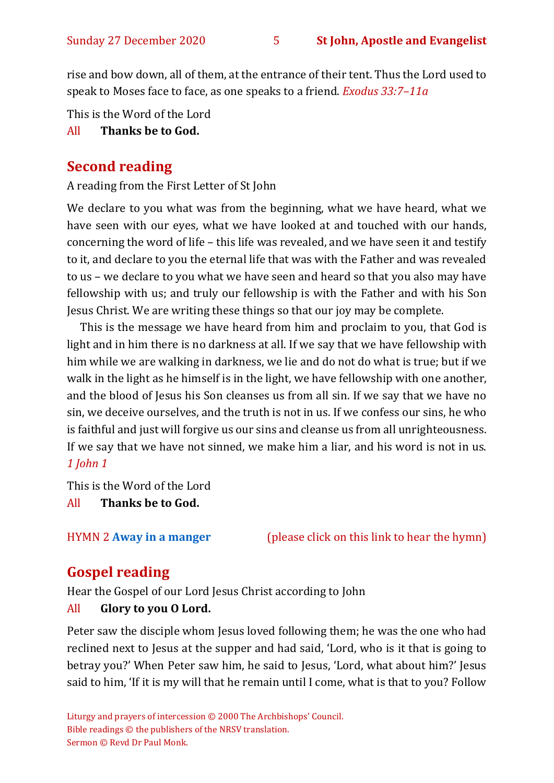#### Sunday 27 December 2020 5 **St John, Apostle and Evangelist**

rise and bow down, all of them, at the entrance of their tent. Thus the Lord used to speak to Moses face to face, as one speaks to a friend. *Exodus 33:7–11a*

This is the Word of the Lord

#### All **Thanks be to God.**

#### **Second reading**

A reading from the First Letter of St John

We declare to you what was from the beginning, what we have heard, what we have seen with our eyes, what we have looked at and touched with our hands, concerning the word of life – this life was revealed, and we have seen it and testify to it, and declare to you the eternal life that was with the Father and was revealed to us – we declare to you what we have seen and heard so that you also may have fellowship with us; and truly our fellowship is with the Father and with his Son Jesus Christ. We are writing these things so that our joy may be complete.

This is the message we have heard from him and proclaim to you, that God is light and in him there is no darkness at all. If we say that we have fellowship with him while we are walking in darkness, we lie and do not do what is true; but if we walk in the light as he himself is in the light, we have fellowship with one another, and the blood of Jesus his Son cleanses us from all sin. If we say that we have no sin, we deceive ourselves, and the truth is not in us. If we confess our sins, he who is faithful and just will forgive us our sins and cleanse us from all unrighteousness. If we say that we have not sinned, we make him a liar, and his word is not in us. *1 John 1*

This is the Word of the Lord All **Thanks be to God.**

HYMN 2 **[Away in a manger](https://www.youtube.com/watch?v=yjke_DVaa_c&t=2s)** (please click on this link to hear the hymn)

## **Gospel reading**

Hear the Gospel of our Lord Jesus Christ according to John

#### All **Glory to you O Lord.**

Peter saw the disciple whom Jesus loved following them; he was the one who had reclined next to Jesus at the supper and had said, 'Lord, who is it that is going to betray you?' When Peter saw him, he said to Jesus, 'Lord, what about him?' Jesus said to him, 'If it is my will that he remain until I come, what is that to you? Follow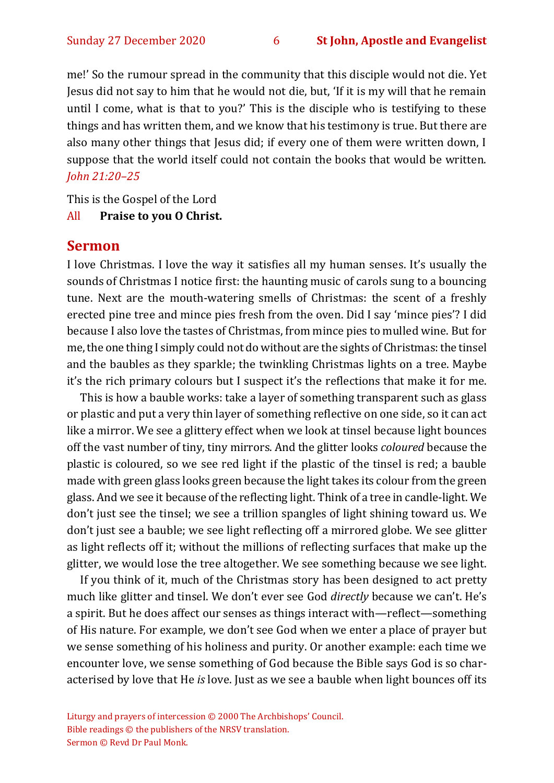me!' So the rumour spread in the community that this disciple would not die. Yet Jesus did not say to him that he would not die, but, 'If it is my will that he remain until I come, what is that to you?' This is the disciple who is testifying to these things and has written them, and we know that his testimony is true. But there are also many other things that Jesus did; if every one of them were written down, I suppose that the world itself could not contain the books that would be written. *John 21:20–25*

This is the Gospel of the Lord

All **Praise to you O Christ.** 

#### **Sermon**

I love Christmas. I love the way it satisfies all my human senses. It's usually the sounds of Christmas I notice first: the haunting music of carols sung to a bouncing tune. Next are the mouth-watering smells of Christmas: the scent of a freshly erected pine tree and mince pies fresh from the oven. Did I say 'mince pies'? I did because I also love the tastes of Christmas, from mince pies to mulled wine. But for me, the one thing I simply could not do without are the sights of Christmas: the tinsel and the baubles as they sparkle; the twinkling Christmas lights on a tree. Maybe it's the rich primary colours but I suspect it's the reflections that make it for me.

This is how a bauble works: take a layer of something transparent such as glass or plastic and put a very thin layer of something reflective on one side, so it can act like a mirror. We see a glittery effect when we look at tinsel because light bounces off the vast number of tiny, tiny mirrors. And the glitter looks *coloured* because the plastic is coloured, so we see red light if the plastic of the tinsel is red; a bauble made with green glass looks green because the light takes its colour from the green glass. And we see it because of the reflecting light. Think of a tree in candle-light. We don't just see the tinsel; we see a trillion spangles of light shining toward us. We don't just see a bauble; we see light reflecting off a mirrored globe. We see glitter as light reflects off it; without the millions of reflecting surfaces that make up the glitter, we would lose the tree altogether. We see something because we see light.

If you think of it, much of the Christmas story has been designed to act pretty much like glitter and tinsel. We don't ever see God *directly* because we can't. He's a spirit. But he does affect our senses as things interact with—reflect—something of His nature. For example, we don't see God when we enter a place of prayer but we sense something of his holiness and purity. Or another example: each time we encounter love, we sense something of God because the Bible says God is so characterised by love that He *is* love. Just as we see a bauble when light bounces off its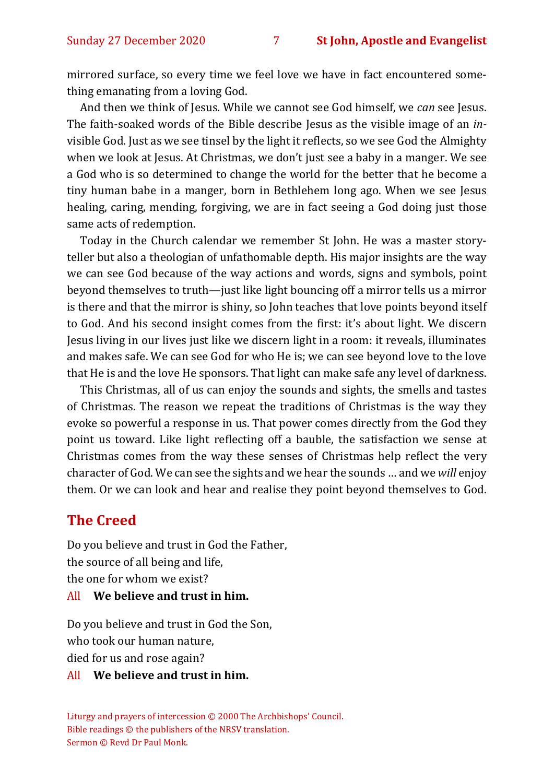Sunday 27 December 2020 7 **St John, Apostle and Evangelist**

mirrored surface, so every time we feel love we have in fact encountered something emanating from a loving God.

And then we think of Jesus. While we cannot see God himself, we *can* see Jesus. The faith-soaked words of the Bible describe Jesus as the visible image of an *in*visible God. Just as we see tinsel by the light it reflects, so we see God the Almighty when we look at Jesus. At Christmas, we don't just see a baby in a manger. We see a God who is so determined to change the world for the better that he become a tiny human babe in a manger, born in Bethlehem long ago. When we see Jesus healing, caring, mending, forgiving, we are in fact seeing a God doing just those same acts of redemption.

Today in the Church calendar we remember St John. He was a master storyteller but also a theologian of unfathomable depth. His major insights are the way we can see God because of the way actions and words, signs and symbols, point beyond themselves to truth—just like light bouncing off a mirror tells us a mirror is there and that the mirror is shiny, so John teaches that love points beyond itself to God. And his second insight comes from the first: it's about light. We discern Jesus living in our lives just like we discern light in a room: it reveals, illuminates and makes safe. We can see God for who He is; we can see beyond love to the love that He is and the love He sponsors. That light can make safe any level of darkness.

This Christmas, all of us can enjoy the sounds and sights, the smells and tastes of Christmas. The reason we repeat the traditions of Christmas is the way they evoke so powerful a response in us. That power comes directly from the God they point us toward. Like light reflecting off a bauble, the satisfaction we sense at Christmas comes from the way these senses of Christmas help reflect the very character of God. We can see the sights and we hear the sounds … and we *will* enjoy them. Or we can look and hear and realise they point beyond themselves to God.

#### **The Creed**

Do you believe and trust in God the Father, the source of all being and life, the one for whom we exist? All **We believe and trust in him.**

Do you believe and trust in God the Son, who took our human nature, died for us and rose again?

#### All **We believe and trust in him.**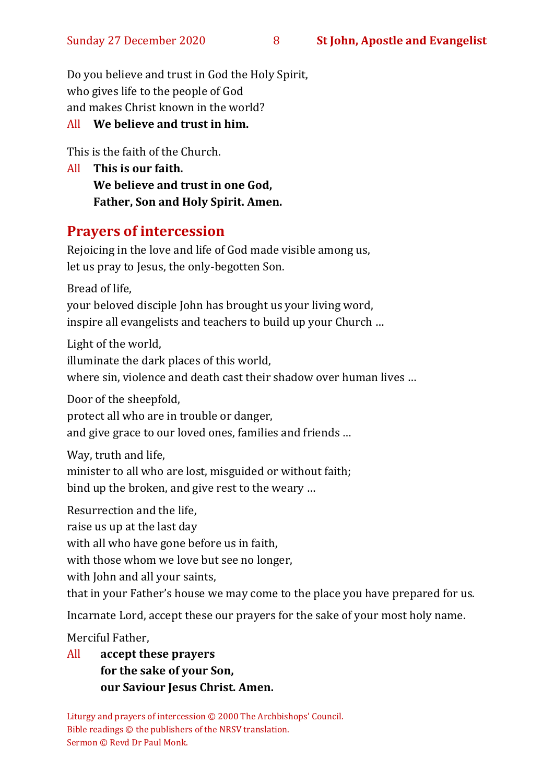#### Sunday 27 December 2020 8 **St John, Apostle and Evangelist**

Do you believe and trust in God the Holy Spirit, who gives life to the people of God and makes Christ known in the world?

#### All **We believe and trust in him.**

This is the faith of the Church.

All **This is our faith. We believe and trust in one God, Father, Son and Holy Spirit. Amen.**

## **Prayers of intercession**

Rejoicing in the love and life of God made visible among us, let us pray to Jesus, the only-begotten Son.

Bread of life,

your beloved disciple John has brought us your living word, inspire all evangelists and teachers to build up your Church …

Light of the world,

illuminate the dark places of this world,

where sin, violence and death cast their shadow over human lives …

Door of the sheepfold,

protect all who are in trouble or danger,

and give grace to our loved ones, families and friends …

Way, truth and life,

minister to all who are lost, misguided or without faith; bind up the broken, and give rest to the weary …

Resurrection and the life,

raise us up at the last day

with all who have gone before us in faith,

with those whom we love but see no longer,

with John and all your saints,

that in your Father's house we may come to the place you have prepared for us.

Incarnate Lord, accept these our prayers for the sake of your most holy name.

Merciful Father,

All **accept these prayers for the sake of your Son, our Saviour Jesus Christ. Amen.**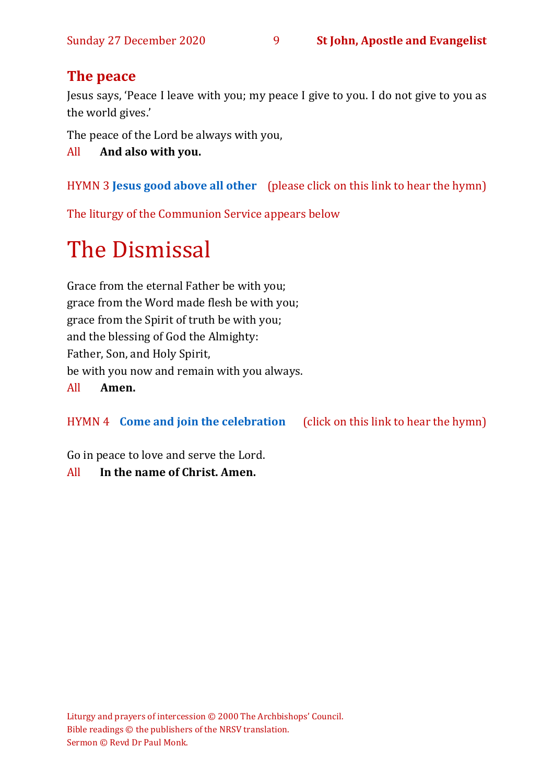## **The peace**

Jesus says, 'Peace I leave with you; my peace I give to you. I do not give to you as the world gives.'

The peace of the Lord be always with you,

All **And also with you.**

HYMN 3 **[Jesus good above all other](https://youtu.be/Cd7AdMPveBM)** (please click on this link to hear the hymn)

The liturgy of the Communion Service appears below

# The Dismissal

Grace from the eternal Father be with you; grace from the Word made flesh be with you; grace from the Spirit of truth be with you; and the blessing of God the Almighty: Father, Son, and Holy Spirit, be with you now and remain with you always. All **Amen.**

HYMN 4 **[Come and join the celebration](https://www.youtube.com/watch?v=aaZKd5vT0l8)** (click on this link to hear the hymn)

Go in peace to love and serve the Lord.

## All **In the name of Christ. Amen.**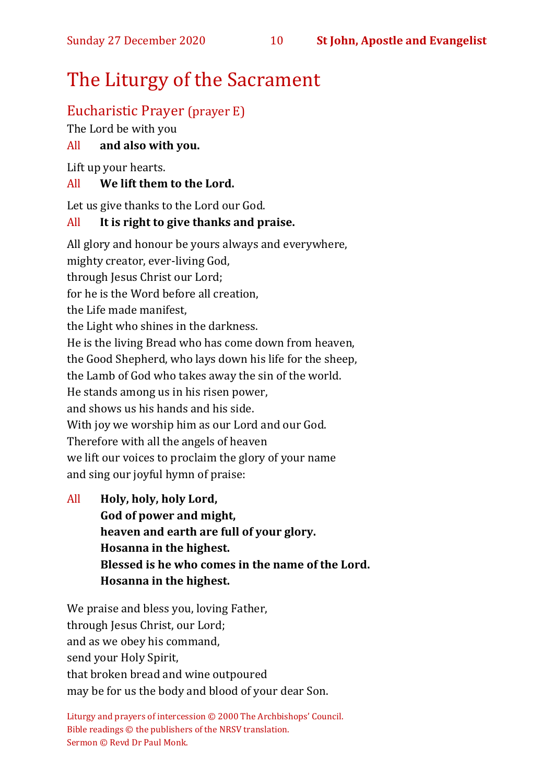#### Sunday 27 December 2020 10 **St John, Apostle and Evangelist**

## The Liturgy of the Sacrament

## Eucharistic Prayer (prayer E)

The Lord be with you

#### All **and also with you.**

Lift up your hearts.

#### All **We lift them to the Lord.**

Let us give thanks to the Lord our God.

#### All **It is right to give thanks and praise.**

All glory and honour be yours always and everywhere, mighty creator, ever-living God, through Jesus Christ our Lord; for he is the Word before all creation, the Life made manifest, the Light who shines in the darkness. He is the living Bread who has come down from heaven, the Good Shepherd, who lays down his life for the sheep, the Lamb of God who takes away the sin of the world. He stands among us in his risen power, and shows us his hands and his side. With joy we worship him as our Lord and our God. Therefore with all the angels of heaven we lift our voices to proclaim the glory of your name and sing our joyful hymn of praise:

All **Holy, holy, holy Lord, God of power and might, heaven and earth are full of your glory. Hosanna in the highest. Blessed is he who comes in the name of the Lord. Hosanna in the highest.**

We praise and bless you, loving Father, through Jesus Christ, our Lord; and as we obey his command, send your Holy Spirit, that broken bread and wine outpoured may be for us the body and blood of your dear Son.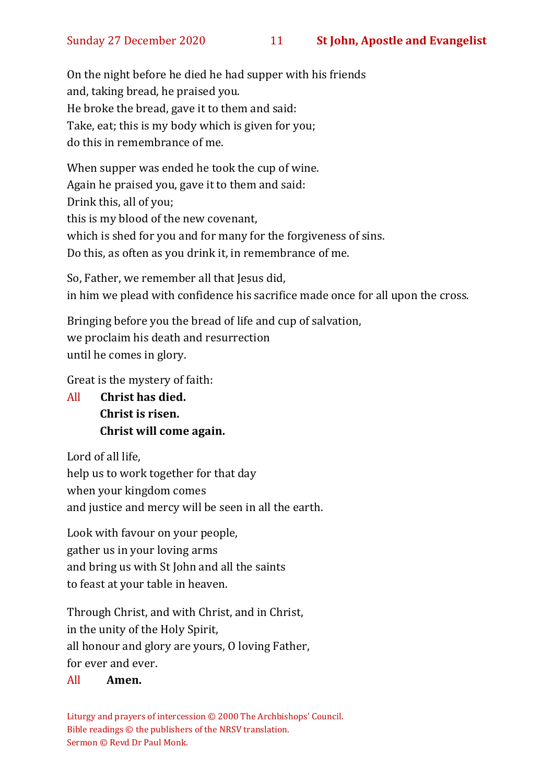On the night before he died he had supper with his friends and, taking bread, he praised you. He broke the bread, gave it to them and said: Take, eat; this is my body which is given for you; do this in remembrance of me.

When supper was ended he took the cup of wine. Again he praised you, gave it to them and said: Drink this, all of you; this is my blood of the new covenant, which is shed for you and for many for the forgiveness of sins. Do this, as often as you drink it, in remembrance of me.

So, Father, we remember all that Jesus did, in him we plead with confidence his sacrifice made once for all upon the cross.

Bringing before you the bread of life and cup of salvation, we proclaim his death and resurrection until he comes in glory.

Great is the mystery of faith:

All **Christ has died. Christ is risen. Christ will come again.**

Lord of all life, help us to work together for that day when your kingdom comes and justice and mercy will be seen in all the earth.

Look with favour on your people, gather us in your loving arms and bring us with St John and all the saints to feast at your table in heaven.

Through Christ, and with Christ, and in Christ, in the unity of the Holy Spirit, all honour and glory are yours, O loving Father, for ever and ever.

#### All **Amen.**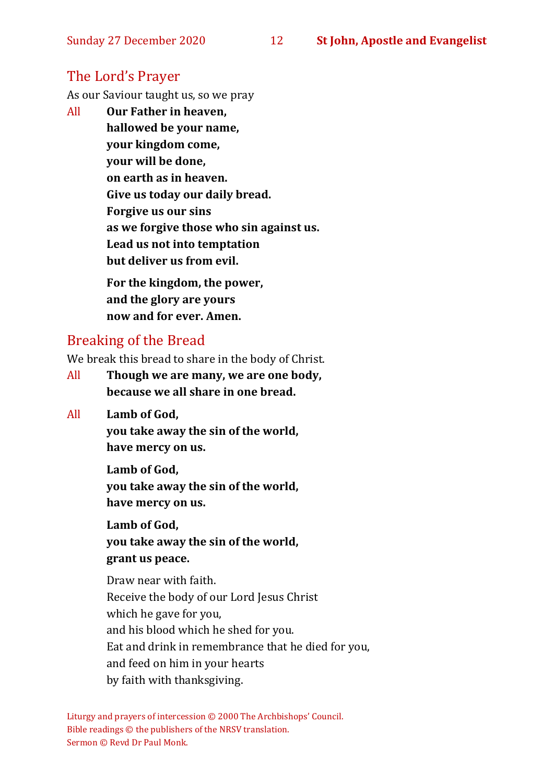#### Sunday 27 December 2020 12 **St John, Apostle and Evangelist**

### The Lord's Prayer

As our Saviour taught us, so we pray

All **Our Father in heaven, hallowed be your name, your kingdom come, your will be done, on earth as in heaven. Give us today our daily bread. Forgive us our sins as we forgive those who sin against us. Lead us not into temptation but deliver us from evil. For the kingdom, the power,** 

**and the glory are yours now and for ever. Amen.**

#### Breaking of the Bread

We break this bread to share in the body of Christ.

- All **Though we are many, we are one body, because we all share in one bread.**
- All **Lamb of God,**

**you take away the sin of the world, have mercy on us.**

**Lamb of God, you take away the sin of the world, have mercy on us.**

**Lamb of God, you take away the sin of the world, grant us peace.**

Draw near with faith. Receive the body of our Lord Jesus Christ which he gave for you, and his blood which he shed for you. Eat and drink in remembrance that he died for you, and feed on him in your hearts by faith with thanksgiving.